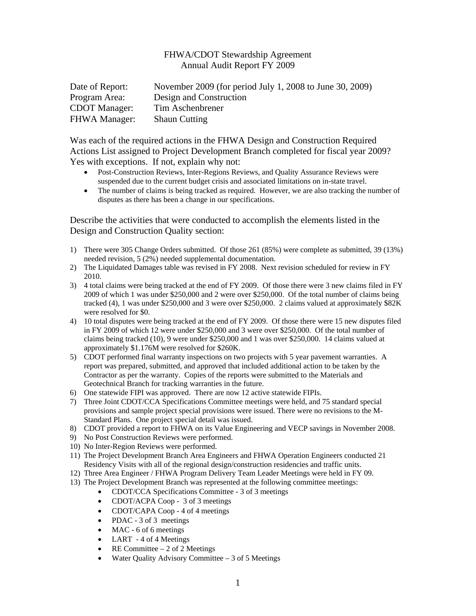## FHWA/CDOT Stewardship Agreement Annual Audit Report FY 2009

| Date of Report:      | November 2009 (for period July 1, 2008 to June 30, 2009) |
|----------------------|----------------------------------------------------------|
| Program Area:        | Design and Construction                                  |
| <b>CDOT</b> Manager: | Tim Aschenbrener                                         |
| <b>FHWA Manager:</b> | <b>Shaun Cutting</b>                                     |

Was each of the required actions in the FHWA Design and Construction Required Actions List assigned to Project Development Branch completed for fiscal year 2009? Yes with exceptions. If not, explain why not:

- Post-Construction Reviews, Inter-Regions Reviews, and Quality Assurance Reviews were suspended due to the current budget crisis and associated limitations on in-state travel.
- The number of claims is being tracked as required. However, we are also tracking the number of disputes as there has been a change in our specifications.

Describe the activities that were conducted to accomplish the elements listed in the Design and Construction Quality section:

- 1) There were 305 Change Orders submitted. Of those 261 (85%) were complete as submitted, 39 (13%) needed revision, 5 (2%) needed supplemental documentation.
- 2) The Liquidated Damages table was revised in FY 2008. Next revision scheduled for review in FY 2010.
- 3) 4 total claims were being tracked at the end of FY 2009. Of those there were 3 new claims filed in FY 2009 of which 1 was under \$250,000 and 2 were over \$250,000. Of the total number of claims being tracked (4), 1 was under \$250,000 and 3 were over \$250,000. 2 claims valued at approximately \$82K were resolved for \$0.
- 4) 10 total disputes were being tracked at the end of FY 2009. Of those there were 15 new disputes filed in FY 2009 of which 12 were under \$250,000 and 3 were over \$250,000. Of the total number of claims being tracked (10), 9 were under \$250,000 and 1 was over \$250,000. 14 claims valued at approximately \$1.176M were resolved for \$260K.
- 5) CDOT performed final warranty inspections on two projects with 5 year pavement warranties. A report was prepared, submitted, and approved that included additional action to be taken by the Contractor as per the warranty. Copies of the reports were submitted to the Materials and Geotechnical Branch for tracking warranties in the future.
- 6) One statewide FIPI was approved. There are now 12 active statewide FIPIs.
- 7) Three Joint CDOT/CCA Specifications Committee meetings were held, and 75 standard special provisions and sample project special provisions were issued. There were no revisions to the M-Standard Plans. One project special detail was issued.
- 8) CDOT provided a report to FHWA on its Value Engineering and VECP savings in November 2008.
- 9) No Post Construction Reviews were performed.
- 10) No Inter-Region Reviews were performed.
- 11) The Project Development Branch Area Engineers and FHWA Operation Engineers conducted 21 Residency Visits with all of the regional design/construction residencies and traffic units.
- 12) Three Area Engineer / FHWA Program Delivery Team Leader Meetings were held in FY 09.
- 13) The Project Development Branch was represented at the following committee meetings:
	- CDOT/CCA Specifications Committee 3 of 3 meetings
	- CDOT/ACPA Coop 3 of 3 meetings
	- CDOT/CAPA Coop 4 of 4 meetings
	- PDAC 3 of 3 meetings
	- MAC 6 of 6 meetings
	- LART 4 of 4 Meetings
	- RE Committee  $-2$  of 2 Meetings
	- Water Quality Advisory Committee  $-3$  of 5 Meetings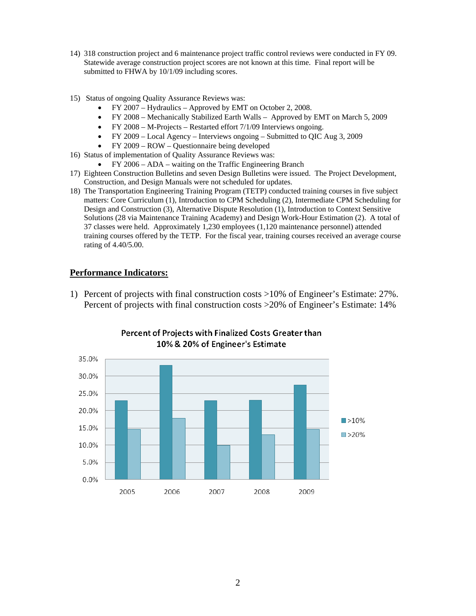- 14) 318 construction project and 6 maintenance project traffic control reviews were conducted in FY 09. Statewide average construction project scores are not known at this time. Final report will be submitted to FHWA by 10/1/09 including scores.
- 15) Status of ongoing Quality Assurance Reviews was:
	- FY 2007 Hydraulics Approved by EMT on October 2, 2008.
	- FY 2008 Mechanically Stabilized Earth Walls Approved by EMT on March 5, 2009
	- FY 2008 M-Projects Restarted effort 7/1/09 Interviews ongoing.
	- FY 2009 Local Agency Interviews ongoing Submitted to QIC Aug 3, 2009
	- FY 2009 ROW Questionnaire being developed
- 16) Status of implementation of Quality Assurance Reviews was:
	- FY 2006 ADA waiting on the Traffic Engineering Branch
- 17) Eighteen Construction Bulletins and seven Design Bulletins were issued. The Project Development, Construction, and Design Manuals were not scheduled for updates.
- 18) The Transportation Engineering Training Program (TETP) conducted training courses in five subject matters: Core Curriculum (1), Introduction to CPM Scheduling (2), Intermediate CPM Scheduling for Design and Construction (3), Alternative Dispute Resolution (1), Introduction to Context Sensitive Solutions (28 via Maintenance Training Academy) and Design Work-Hour Estimation (2). A total of 37 classes were held. Approximately 1,230 employees (1,120 maintenance personnel) attended training courses offered by the TETP. For the fiscal year, training courses received an average course rating of 4.40/5.00.

## **Performance Indicators:**

1) Percent of projects with final construction costs >10% of Engineer's Estimate: 27%. Percent of projects with final construction costs >20% of Engineer's Estimate: 14%



## Percent of Projects with Finalized Costs Greater than 10% & 20% of Engineer's Estimate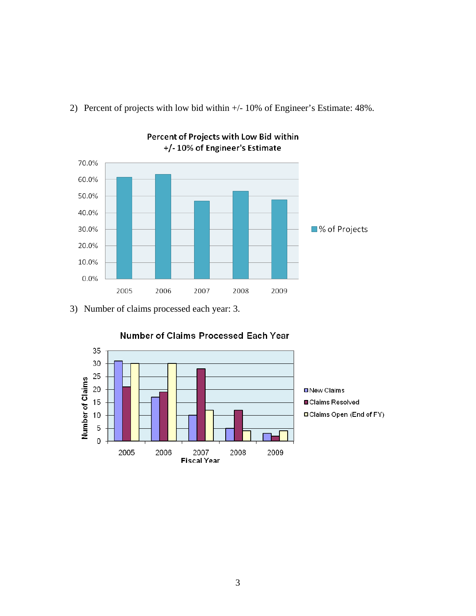

2) Percent of projects with low bid within +/- 10% of Engineer's Estimate: 48%.

Percent of Projects with Low Bid within

3) Number of claims processed each year: 3.



Number of Claims Processed Each Year